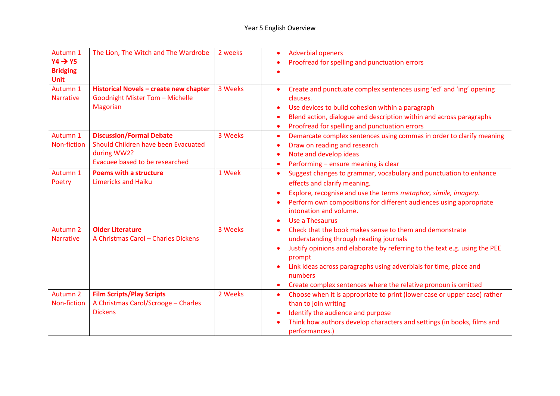| Autumn 1<br>$YA \rightarrow Y5$<br><b>Bridging</b><br><b>Unit</b> | The Lion, The Witch and The Wardrobe                                                                                    | 2 weeks | <b>Adverbial openers</b><br>$\bullet$<br>Proofread for spelling and punctuation errors                                                                                                                                                                                                                                                                                |
|-------------------------------------------------------------------|-------------------------------------------------------------------------------------------------------------------------|---------|-----------------------------------------------------------------------------------------------------------------------------------------------------------------------------------------------------------------------------------------------------------------------------------------------------------------------------------------------------------------------|
| Autumn 1<br><b>Narrative</b>                                      | Historical Novels - create new chapter<br><b>Goodnight Mister Tom - Michelle</b><br><b>Magorian</b>                     | 3 Weeks | Create and punctuate complex sentences using 'ed' and 'ing' opening<br>clauses.<br>Use devices to build cohesion within a paragraph<br>Blend action, dialogue and description within and across paragraphs<br>Proofread for spelling and punctuation errors<br>$\bullet$                                                                                              |
| Autumn 1<br><b>Non-fiction</b>                                    | <b>Discussion/Formal Debate</b><br>Should Children have been Evacuated<br>during WW2?<br>Evacuee based to be researched | 3 Weeks | Demarcate complex sentences using commas in order to clarify meaning<br>$\bullet$<br>Draw on reading and research<br>Note and develop ideas<br>Performing - ensure meaning is clear<br>$\bullet$                                                                                                                                                                      |
| Autumn 1<br>Poetry                                                | <b>Poems with a structure</b><br><b>Limericks and Haiku</b>                                                             | 1 Week  | Suggest changes to grammar, vocabulary and punctuation to enhance<br>$\bullet$<br>effects and clarify meaning.<br>Explore, recognise and use the terms metaphor, simile, imagery.<br>Perform own compositions for different audiences using appropriate<br>intonation and volume.<br>Use a Thesaurus                                                                  |
| Autumn <sub>2</sub><br><b>Narrative</b>                           | <b>Older Literature</b><br>A Christmas Carol - Charles Dickens                                                          | 3 Weeks | Check that the book makes sense to them and demonstrate<br>$\bullet$<br>understanding through reading journals<br>Justify opinions and elaborate by referring to the text e.g. using the PEE<br>prompt<br>Link ideas across paragraphs using adverbials for time, place and<br>numbers<br>Create complex sentences where the relative pronoun is omitted<br>$\bullet$ |
| <b>Autumn 2</b><br>Non-fiction                                    | <b>Film Scripts/Play Scripts</b><br>A Christmas Carol/Scrooge - Charles<br><b>Dickens</b>                               | 2 Weeks | Choose when it is appropriate to print (lower case or upper case) rather<br>$\bullet$<br>than to join writing<br>Identify the audience and purpose<br>Think how authors develop characters and settings (in books, films and<br>performances.)                                                                                                                        |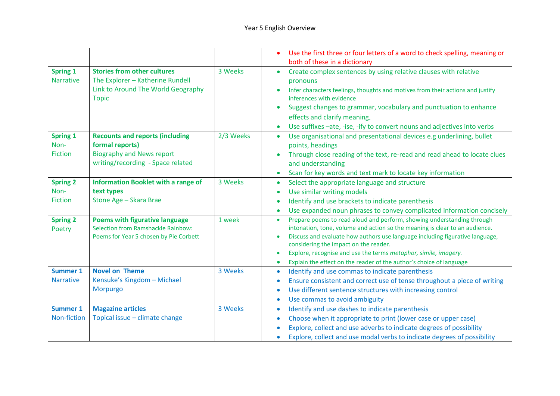|                                           |                                                                                                                                    |           | Use the first three or four letters of a word to check spelling, meaning or<br>both of these in a dictionary                                                                                                                                                                                                                                                                                                                                       |
|-------------------------------------------|------------------------------------------------------------------------------------------------------------------------------------|-----------|----------------------------------------------------------------------------------------------------------------------------------------------------------------------------------------------------------------------------------------------------------------------------------------------------------------------------------------------------------------------------------------------------------------------------------------------------|
| <b>Spring 1</b><br><b>Narrative</b>       | <b>Stories from other cultures</b><br>The Explorer - Katherine Rundell<br>Link to Around The World Geography<br><b>Topic</b>       | 3 Weeks   | Create complex sentences by using relative clauses with relative<br>pronouns<br>Infer characters feelings, thoughts and motives from their actions and justify<br>inferences with evidence<br>Suggest changes to grammar, vocabulary and punctuation to enhance<br>effects and clarify meaning.<br>Use suffixes -ate, -ise, -ify to convert nouns and adjectives into verbs                                                                        |
| <b>Spring 1</b><br>Non-<br><b>Fiction</b> | <b>Recounts and reports (including</b><br>formal reports)<br><b>Biography and News report</b><br>writing/recording - Space related | 2/3 Weeks | Use organisational and presentational devices e.g underlining, bullet<br>$\bullet$<br>points, headings<br>Through close reading of the text, re-read and read ahead to locate clues<br>and understanding<br>Scan for key words and text mark to locate key information                                                                                                                                                                             |
| <b>Spring 2</b><br>Non-<br><b>Fiction</b> | <b>Information Booklet with a range of</b><br>text types<br>Stone Age - Skara Brae                                                 | 3 Weeks   | Select the appropriate language and structure<br>$\bullet$<br>Use similar writing models<br>$\bullet$<br>Identify and use brackets to indicate parenthesis<br>Use expanded noun phrases to convey complicated information concisely<br>$\bullet$                                                                                                                                                                                                   |
| <b>Spring 2</b><br>Poetry                 | <b>Poems with figurative language</b><br>Selection from Ramshackle Rainbow:<br>Poems for Year 5 chosen by Pie Corbett              | 1 week    | Prepare poems to read aloud and perform, showing understanding through<br>$\bullet$<br>intonation, tone, volume and action so the meaning is clear to an audience.<br>Discuss and evaluate how authors use language including figurative language,<br>considering the impact on the reader.<br>Explore, recognise and use the terms metaphor, simile, imagery.<br>Explain the effect on the reader of the author's choice of language<br>$\bullet$ |
| <b>Summer 1</b><br><b>Narrative</b>       | <b>Novel on Theme</b><br>Kensuke's Kingdom - Michael<br>Morpurgo                                                                   | 3 Weeks   | Identify and use commas to indicate parenthesis<br>$\bullet$<br>Ensure consistent and correct use of tense throughout a piece of writing<br>Use different sentence structures with increasing control<br>Use commas to avoid ambiguity<br>$\bullet$                                                                                                                                                                                                |
| <b>Summer 1</b><br>Non-fiction            | <b>Magazine articles</b><br>Topical issue - climate change                                                                         | 3 Weeks   | Identify and use dashes to indicate parenthesis<br>$\bullet$<br>Choose when it appropriate to print (lower case or upper case)<br>$\bullet$<br>Explore, collect and use adverbs to indicate degrees of possibility<br>Explore, collect and use modal verbs to indicate degrees of possibility                                                                                                                                                      |